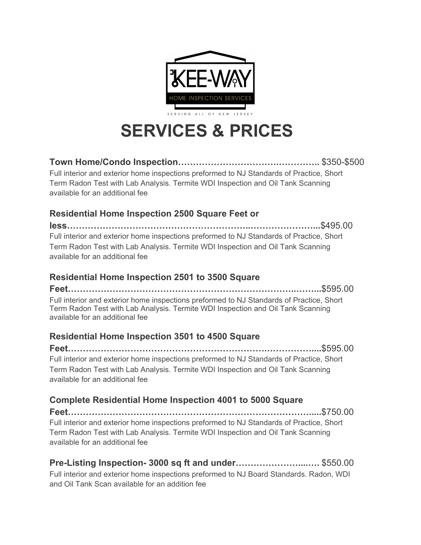

# **SERVICES & PRICES**

**Town Home/Condo Inspection…………………………….…………..** \$350-\$500

Full interior and exterior home inspections preformed to NJ Standards of Practice, Short Term Radon Test with Lab Analysis. Termite WDI Inspection and Oil Tank Scanning available for an additional fee

#### **Residential Home Inspection 2500 Square Feet or**

**less……………………………………………………..…………………...**\$495.00 Full interior and exterior home inspections preformed to NJ Standards of Practice, Short Term Radon Test with Lab Analysis. Termite WDI Inspection and Oil Tank Scanning available for an additional fee

### **Residential Home Inspection 2501 to 3500 Square**

**Feet…………………………………………………………………..……...**\$595.00 Full interior and exterior home inspections preformed to NJ Standards of Practice, Short Term Radon Test with Lab Analysis. Termite WDI Inspection and Oil Tank Scanning available for an additional fee

### **Residential Home Inspection 3501 to 4500 Square**

**Feet………………………………………………………….……………....**\$595.00 Full interior and exterior home inspections preformed to NJ Standards of Practice, Short Term Radon Test with Lab Analysis. Termite WDI Inspection and Oil Tank Scanning available for an additional fee

### **Complete Residential Home Inspection 4001 to 5000 Square**

**Feet……………………………………………………………………….....**\$750.00 Full interior and exterior home inspections preformed to NJ Standards of Practice, Short Term Radon Test with Lab Analysis. Termite WDI Inspection and Oil Tank Scanning available for an additional fee

### **Pre-Listing Inspection- 3000 sq ft and under…………………....….** \$550.00

Full interior and exterior home inspections preformed to NJ Board Standards. Radon, WDI and Oil Tank Scan available for an addition fee